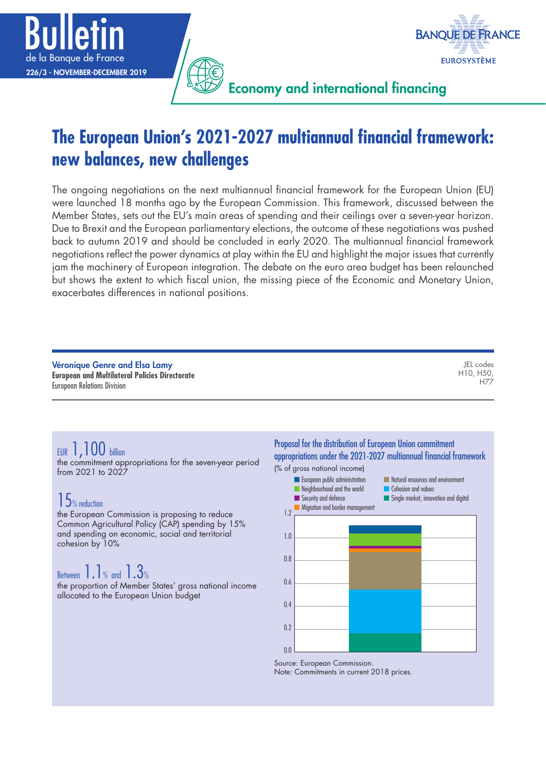



Economy and international financing

# **The European Union's 2021-2027 multiannual financial framework: new balances, new challenges**

The ongoing negotiations on the next multiannual financial framework for the European Union (EU) were launched 18 months ago by the European Commission. This framework, discussed between the Member States, sets out the EU's main areas of spending and their ceilings over a seven-year horizon. Due to Brexit and the European parliamentary elections, the outcome of these negotiations was pushed back to autumn 2019 and should be concluded in early 2020. The multiannual financial framework negotiations reflect the power dynamics at play within the EU and highlight the major issues that currently jam the machinery of European integration. The debate on the euro area budget has been relaunched but shows the extent to which fiscal union, the missing piece of the Economic and Monetary Union, exacerbates differences in national positions.

Véronique Genre and Elsa Lamy **European and Multilateral Policies Directorate** European Relations Division

JEL codes H10, H50, H77

## EUR 1,100 billion

the commitment appropriations for the seven-year period from 2021 to 2027

## 15% reduction

the European Commission is proposing to reduce Common Agricultural Policy (CAP) spending by 15% and spending on economic, social and territorial cohesion by 10%

## Between 1.1% and 1.3%

the proportion of Member States' gross national income allocated to the European Union budget

Proposal for the distribution of European Union commitment appropriations under the 2021-2027 multiannual financial framework (% of gross national income)



Source: European Commission.

Note: Commitments in current 2018 prices.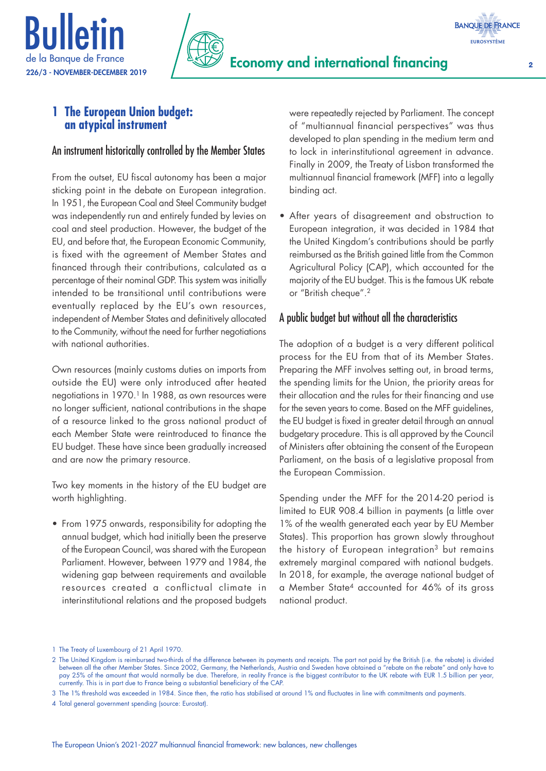



## **1 The European Union budget: an atypical instrument**

### An instrument historically controlled by the Member States

From the outset, EU fiscal autonomy has been a major sticking point in the debate on European integration. In 1951, the European Coal and Steel Community budget was independently run and entirely funded by levies on coal and steel production. However, the budget of the EU, and before that, the European Economic Community, is fixed with the agreement of Member States and financed through their contributions, calculated as a percentage of their nominal GDP. This system was initially intended to be transitional until contributions were eventually replaced by the EU's own resources, independent of Member States and definitively allocated to the Community, without the need for further negotiations with national authorities.

Own resources (mainly customs duties on imports from outside the EU) were only introduced after heated negotiations in 1970.<sup>1</sup> In 1988, as own resources were no longer sufficient, national contributions in the shape of a resource linked to the gross national product of each Member State were reintroduced to finance the EU budget. These have since been gradually increased and are now the primary resource.

Two key moments in the history of the EU budget are worth highlighting.

• From 1975 onwards, responsibility for adopting the annual budget, which had initially been the preserve of the European Council, was shared with the European Parliament. However, between 1979 and 1984, the widening gap between requirements and available resources created a conflictual climate in interinstitutional relations and the proposed budgets were repeatedly rejected by Parliament. The concept of "multiannual financial perspectives" was thus developed to plan spending in the medium term and to lock in interinstitutional agreement in advance. Finally in 2009, the Treaty of Lisbon transformed the multiannual financial framework (MFF) into a legally binding act.

• After years of disagreement and obstruction to European integration, it was decided in 1984 that the United Kingdom's contributions should be partly reimbursed as the British gained little from the Common Agricultural Policy (CAP), which accounted for the majority of the EU budget. This is the famous UK rebate or "British cheque".2

## A public budget but without all the characteristics

The adoption of a budget is a very different political process for the EU from that of its Member States. Preparing the MFF involves setting out, in broad terms, the spending limits for the Union, the priority areas for their allocation and the rules for their financing and use for the seven years to come. Based on the MFF guidelines, the EU budget is fixed in greater detail through an annual budgetary procedure. This is all approved by the Council of Ministers after obtaining the consent of the European Parliament, on the basis of a legislative proposal from the European Commission.

Spending under the MFF for the 2014-20 period is limited to EUR 908.4 billion in payments (a little over 1% of the wealth generated each year by EU Member States). This proportion has grown slowly throughout the history of European integration<sup>3</sup> but remains extremely marginal compared with national budgets. In 2018, for example, the average national budget of a Member State4 accounted for 46% of its gross national product.

<sup>1</sup> The Treaty of Luxembourg of 21 April 1970.

<sup>2</sup> The United Kingdom is reimbursed two-thirds of the difference between its payments and receipts. The part not paid by the British (i.e. the rebate) is divided between all the other Member States. Since 2002, Germany, the Netherlands, Austria and Sweden have obtained a "rebate on the rebate" and only have to pay 25% of the amount that would normally be due. Therefore, in reality France is the biggest contributor to the UK rebate with EUR 1.5 billion per year, currently. This is in part due to France being a substantial beneficiary of the CAP.

<sup>3</sup> The 1% threshold was exceeded in 1984. Since then, the ratio has stabilised at around 1% and fluctuates in line with commitments and payments.

<sup>4</sup> Total general government spending (source: Eurostat).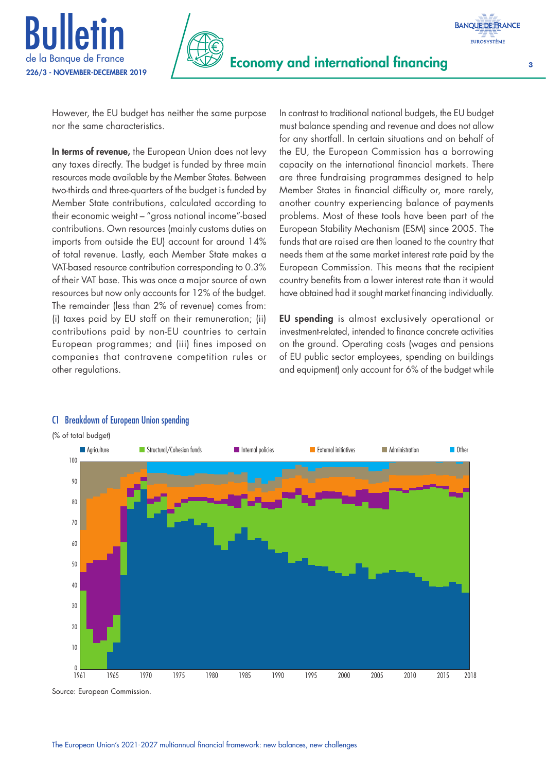





However, the EU budget has neither the same purpose nor the same characteristics.

In terms of revenue, the European Union does not levy any taxes directly. The budget is funded by three main resources made available by the Member States. Between two-thirds and three-quarters of the budget is funded by Member State contributions, calculated according to their economic weight – "gross national income"-based contributions. Own resources (mainly customs duties on imports from outside the EU) account for around 14% of total revenue. Lastly, each Member State makes a VAT-based resource contribution corresponding to 0.3% of their VAT base. This was once a major source of own resources but now only accounts for 12% of the budget. The remainder (less than 2% of revenue) comes from: (i) taxes paid by EU staff on their remuneration; (ii) contributions paid by non-EU countries to certain European programmes; and (iii) fines imposed on companies that contravene competition rules or other regulations.

In contrast to traditional national budgets, the EU budget must balance spending and revenue and does not allow for any shortfall. In certain situations and on behalf of the EU, the European Commission has a borrowing capacity on the international financial markets. There are three fundraising programmes designed to help Member States in financial difficulty or, more rarely, another country experiencing balance of payments problems. Most of these tools have been part of the European Stability Mechanism (ESM) since 2005. The funds that are raised are then loaned to the country that needs them at the same market interest rate paid by the European Commission. This means that the recipient country benefits from a lower interest rate than it would have obtained had it sought market financing individually.

EU spending is almost exclusively operational or investment-related, intended to finance concrete activities on the ground. Operating costs (wages and pensions of EU public sector employees, spending on buildings and equipment) only account for 6% of the budget while



#### C1 Breakdown of European Union spending

Source: European Commission.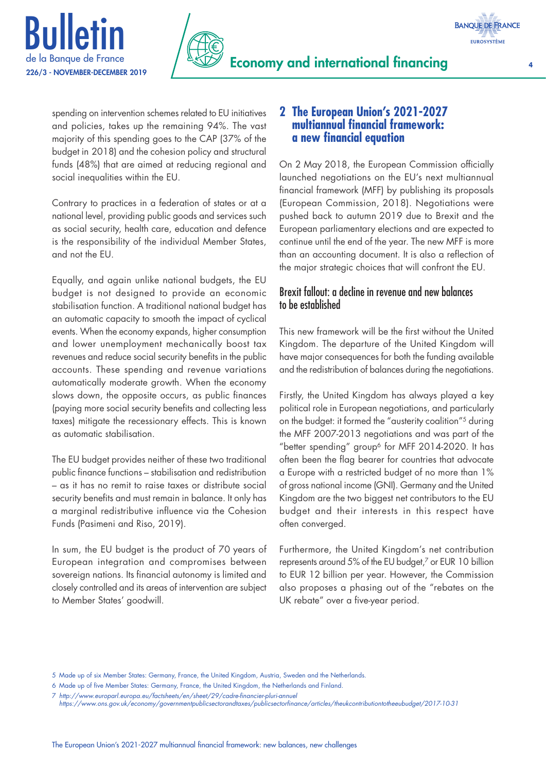



Economy and international financing <sup>4</sup>

spending on intervention schemes related to EU initiatives and policies, takes up the remaining 94%. The vast majority of this spending goes to the CAP (37% of the budget in 2018) and the cohesion policy and structural funds (48%) that are aimed at reducing regional and social inequalities within the EU.

Bulletin

Contrary to practices in a federation of states or at a national level, providing public goods and services such as social security, health care, education and defence is the responsibility of the individual Member States, and not the EU.

Equally, and again unlike national budgets, the EU budget is not designed to provide an economic stabilisation function. A traditional national budget has an automatic capacity to smooth the impact of cyclical events. When the economy expands, higher consumption and lower unemployment mechanically boost tax revenues and reduce social security benefits in the public accounts. These spending and revenue variations automatically moderate growth. When the economy slows down, the opposite occurs, as public finances (paying more social security benefits and collecting less taxes) mitigate the recessionary effects. This is known as automatic stabilisation.

The EU budget provides neither of these two traditional public finance functions – stabilisation and redistribution – as it has no remit to raise taxes or distribute social security benefits and must remain in balance. It only has a marginal redistributive influence via the Cohesion Funds (Pasimeni and Riso, 2019).

In sum, the EU budget is the product of 70 years of European integration and compromises between sovereign nations. Its financial autonomy is limited and closely controlled and its areas of intervention are subject to Member States' goodwill.

## **2 The European Union's 2021-2027 multiannual financial framework: a new financial equation**

On 2 May 2018, the European Commission officially launched negotiations on the EU's next multiannual financial framework (MFF) by publishing its proposals (European Commission, 2018). Negotiations were pushed back to autumn 2019 due to Brexit and the European parliamentary elections and are expected to continue until the end of the year. The new MFF is more than an accounting document. It is also a reflection of the major strategic choices that will confront the EU.

## Brexit fallout: a decline in revenue and new balances to be established

This new framework will be the first without the United Kingdom. The departure of the United Kingdom will have major consequences for both the funding available and the redistribution of balances during the negotiations.

Firstly, the United Kingdom has always played a key political role in European negotiations, and particularly on the budget: it formed the "austerity coalition"5 during the MFF 2007-2013 negotiations and was part of the "better spending" group<sup>6</sup> for MFF 2014-2020. It has often been the flag bearer for countries that advocate a Europe with a restricted budget of no more than 1% of gross national income (GNI). Germany and the United Kingdom are the two biggest net contributors to the EU budget and their interests in this respect have often converged.

Furthermore, the United Kingdom's net contribution represents around 5% of the EU budget,<sup>7</sup> or EUR 10 billion to EUR 12 billion per year. However, the Commission also proposes a phasing out of the "rebates on the UK rebate" over a five-year period.

<sup>5</sup> Made up of six Member States: Germany, France, the United Kingdom, Austria, Sweden and the Netherlands.

<sup>6</sup> Made up of five Member States: Germany, France, the United Kingdom, the Netherlands and Finland.

<sup>7</sup> *<http://www.europarl.europa.eu/factsheets/en/sheet/29/cadre-financier-pluri-annuel>*

*<https://www.ons.gov.uk/economy/governmentpublicsectorandtaxes/publicsectorfinance/articles/theukcontributiontotheeubudget/2017-10-31>*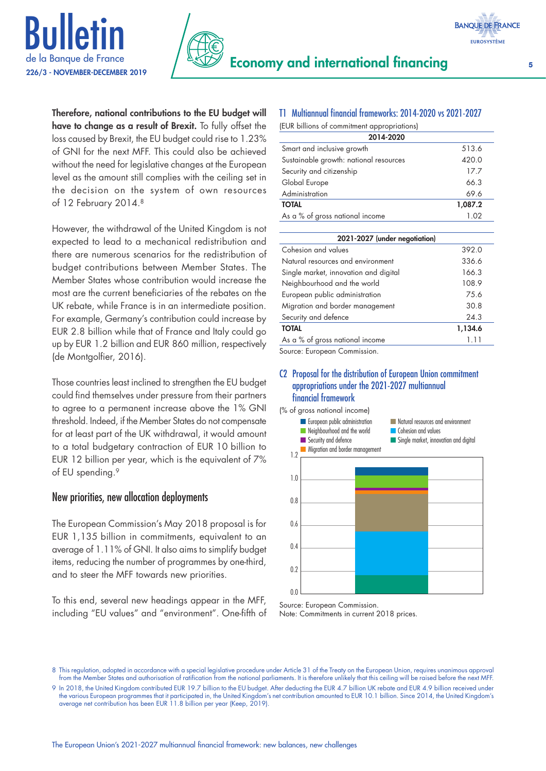



Therefore, national contributions to the EU budget will have to change as a result of Brexit. To fully offset the loss caused by Brexit, the EU budget could rise to 1.23% of GNI for the next MFF. This could also be achieved without the need for legislative changes at the European level as the amount still complies with the ceiling set in the decision on the system of own resources of 12 February 2014.8

However, the withdrawal of the United Kingdom is not expected to lead to a mechanical redistribution and there are numerous scenarios for the redistribution of budget contributions between Member States. The Member States whose contribution would increase the most are the current beneficiaries of the rebates on the UK rebate, while France is in an intermediate position. For example, Germany's contribution could increase by EUR 2.8 billion while that of France and Italy could go up by EUR 1.2 billion and EUR 860 million, respectively (de Montgolfier, 2016).

Those countries least inclined to strengthen the EU budget could find themselves under pressure from their partners to agree to a permanent increase above the 1% GNI threshold. Indeed, if the Member States do not compensate for at least part of the UK withdrawal, it would amount to a total budgetary contraction of EUR 10 billion to EUR 12 billion per year, which is the equivalent of 7% of EU spending.<sup>9</sup>

### New priorities, new allocation deployments

The European Commission's May 2018 proposal is for EUR 1,135 billion in commitments, equivalent to an average of 1.11% of GNI. It also aims to simplify budget items, reducing the number of programmes by one-third, and to steer the MFF towards new priorities.

To this end, several new headings appear in the MFF, including "EU values" and "environment". One-fifth of

## T1 Multiannual financial frameworks: 2014-2020 vs 2021-2027

| (EUR billions of commitment appropriations) |         |  |
|---------------------------------------------|---------|--|
| 2014-2020                                   |         |  |
| Smart and inclusive growth                  | 513.6   |  |
| Sustainable growth: national resources      | 420.0   |  |
| Security and citizenship                    | 17.7    |  |
| Global Europe                               | 66.3    |  |
| Administration                              | 69.6    |  |
| <b>TOTAL</b>                                | 1,087.2 |  |
| As a % of gross national income             | 1.02    |  |
|                                             |         |  |

| 2021-2027 (under negotiation)         |         |
|---------------------------------------|---------|
| Cohesion and values                   | 392.0   |
| Natural resources and environment     | 336.6   |
| Single market, innovation and digital | 166.3   |
| Neighbourhood and the world           | 108.9   |
| European public administration        | 75.6    |
| Migration and border management       | 30.8    |
| Security and defence                  | 24.3    |
| <b>TOTAL</b>                          | 1,134.6 |
| As a % of gross national income       | 1.11    |

Source: European Commission.

#### C2 Proposal for the distribution of European Union commitment appropriations under the 2021-2027 multiannual financial framework

(% of gross national income)



Source: European Commission. Note: Commitments in current 2018 prices.

<sup>8</sup> This regulation, adopted in accordance with a special legislative procedure under Article 31 of the Treaty on the European Union, requires unanimous approval from the Member States and authorisation of ratification from the national parliaments. It is therefore unlikely that this ceiling will be raised before the next MFF.

<sup>9</sup> In 2018, the United Kingdom contributed EUR 19.7 billion to the EU budget. After deducting the EUR 4.7 billion UK rebate and EUR 4.9 billion received under the various European programmes that it participated in, the United Kingdom's net contribution amounted to EUR 10.1 billion. Since 2014, the United Kingdom's average net contribution has been EUR 11.8 billion per year (Keep, 2019).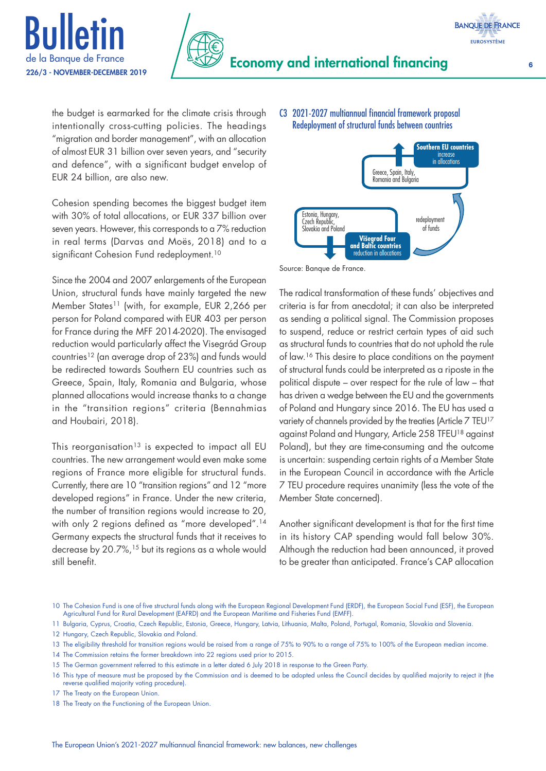



the budget is earmarked for the climate crisis through intentionally cross-cutting policies. The headings "migration and border management", with an allocation of almost EUR 31 billion over seven years, and "security and defence", with a significant budget envelop of EUR 24 billion, are also new.

Cohesion spending becomes the biggest budget item with 30% of total allocations, or EUR 337 billion over seven years. However, this corresponds to a 7% reduction in real terms (Darvas and Moës, 2018) and to a significant Cohesion Fund redeployment.<sup>10</sup>

Since the 2004 and 2007 enlargements of the European Union, structural funds have mainly targeted the new Member States<sup>11</sup> (with, for example, EUR 2,266 per person for Poland compared with EUR 403 per person for France during the MFF 2014-2020). The envisaged reduction would particularly affect the Visegrád Group countries12 (an average drop of 23%) and funds would be redirected towards Southern EU countries such as Greece, Spain, Italy, Romania and Bulgaria, whose planned allocations would increase thanks to a change in the "transition regions" criteria (Bennahmias and Houbairi, 2018).

This reorganisation<sup>13</sup> is expected to impact all EU countries. The new arrangement would even make some regions of France more eligible for structural funds. Currently, there are 10 "transition regions" and 12 "more developed regions" in France. Under the new criteria, the number of transition regions would increase to 20, with only 2 regions defined as "more developed".<sup>14</sup> Germany expects the structural funds that it receives to decrease by 20.7%,15 but its regions as a whole would still benefit.

#### C3 2021-2027 multiannual financial framework proposal Redeployment of structural funds between countries



Source: Banque de France.

The radical transformation of these funds' objectives and criteria is far from anecdotal; it can also be interpreted as sending a political signal. The Commission proposes to suspend, reduce or restrict certain types of aid such as structural funds to countries that do not uphold the rule of law.<sup>16</sup> This desire to place conditions on the payment of structural funds could be interpreted as a riposte in the political dispute – over respect for the rule of law – that has driven a wedge between the EU and the governments of Poland and Hungary since 2016. The EU has used a variety of channels provided by the treaties (Article 7 TEU<sup>17</sup> against Poland and Hungary, Article 258 TFEU18 against Poland), but they are time-consuming and the outcome is uncertain: suspending certain rights of a Member State in the European Council in accordance with the Article 7 TEU procedure requires unanimity (less the vote of the Member State concerned).

Another significant development is that for the first time in its history CAP spending would fall below 30%. Although the reduction had been announced, it proved to be greater than anticipated. France's CAP allocation

- 12 Hungary, Czech Republic, Slovakia and Poland.
- 13 The eligibility threshold for transition regions would be raised from a range of 75% to 90% to a range of 75% to 100% of the European median income.
- 14 The Commission retains the former breakdown into 22 regions used prior to 2015.
- 15 The German government referred to this estimate in a letter dated 6 July 2018 in response to the Green Party.

- 17 The Treaty on the European Union.
- 18 The Treaty on the Functioning of the European Union.

<sup>10</sup> The Cohesion Fund is one of five structural funds along with the European Regional Development Fund (ERDF), the European Social Fund (ESF), the European Agricultural Fund for Rural Development (EAFRD) and the European Maritime and Fisheries Fund (EMFF).

<sup>11</sup> Bulgaria, Cyprus, Croatia, Czech Republic, Estonia, Greece, Hungary, Latvia, Lithuania, Malta, Poland, Portugal, Romania, Slovakia and Slovenia.

<sup>16</sup> This type of measure must be proposed by the Commission and is deemed to be adopted unless the Council decides by qualified majority to reject it (the reverse qualified majority voting procedure).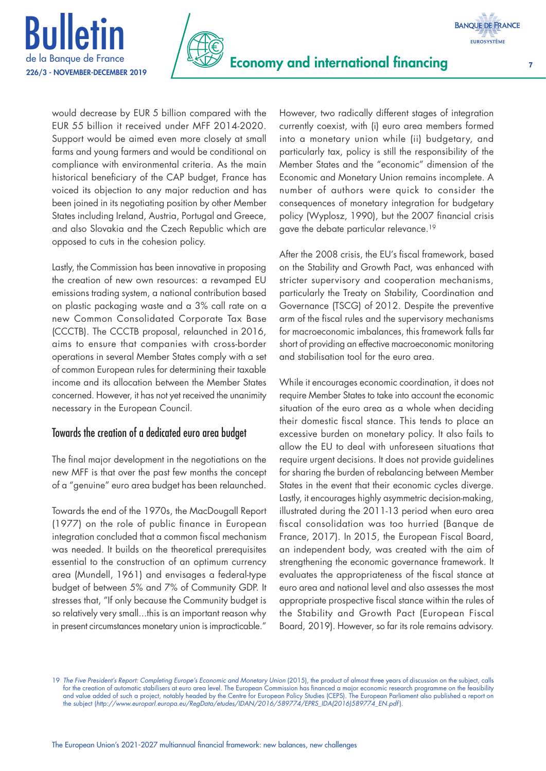



would decrease by EUR 5 billion compared with the EUR 55 billion it received under MFF 2014-2020. Support would be aimed even more closely at small farms and young farmers and would be conditional on compliance with environmental criteria. As the main historical beneficiary of the CAP budget, France has voiced its objection to any major reduction and has been joined in its negotiating position by other Member States including Ireland, Austria, Portugal and Greece, and also Slovakia and the Czech Republic which are opposed to cuts in the cohesion policy.

Lastly, the Commission has been innovative in proposing the creation of new own resources: a revamped EU emissions trading system, a national contribution based on plastic packaging waste and a 3% call rate on a new Common Consolidated Corporate Tax Base (CCCTB). The CCCTB proposal, relaunched in 2016, aims to ensure that companies with cross-border operations in several Member States comply with a set of common European rules for determining their taxable income and its allocation between the Member States concerned. However, it has not yet received the unanimity necessary in the European Council.

### Towards the creation of a dedicated euro area budget

The final major development in the negotiations on the new MFF is that over the past few months the concept of a "genuine" euro area budget has been relaunched.

Towards the end of the 1970s, the MacDougall Report (1977) on the role of public finance in European integration concluded that a common fiscal mechanism was needed. It builds on the theoretical prerequisites essential to the construction of an optimum currency area (Mundell, 1961) and envisages a federal-type budget of between 5% and 7% of Community GDP. It stresses that, "If only because the Community budget is so relatively very small...this is an important reason why in present circumstances monetary union is impracticable." However, two radically different stages of integration currently coexist, with (i) euro area members formed into a monetary union while (ii) budgetary, and particularly tax, policy is still the responsibility of the Member States and the "economic" dimension of the Economic and Monetary Union remains incomplete. A number of authors were quick to consider the consequences of monetary integration for budgetary policy (Wyplosz, 1990), but the 2007 financial crisis gave the debate particular relevance.19

After the 2008 crisis, the EU's fiscal framework, based on the Stability and Growth Pact, was enhanced with stricter supervisory and cooperation mechanisms, particularly the Treaty on Stability, Coordination and Governance (TSCG) of 2012. Despite the preventive arm of the fiscal rules and the supervisory mechanisms for macroeconomic imbalances, this framework falls far short of providing an effective macroeconomic monitoring and stabilisation tool for the euro area.

While it encourages economic coordination, it does not require Member States to take into account the economic situation of the euro area as a whole when deciding their domestic fiscal stance. This tends to place an excessive burden on monetary policy. It also fails to allow the EU to deal with unforeseen situations that require urgent decisions. It does not provide guidelines for sharing the burden of rebalancing between Member States in the event that their economic cycles diverge. Lastly, it encourages highly asymmetric decision-making, illustrated during the 2011-13 period when euro area fiscal consolidation was too hurried (Banque de France, 2017). In 2015, the European Fiscal Board, an independent body, was created with the aim of strengthening the economic governance framework. It evaluates the appropriateness of the fiscal stance at euro area and national level and also assesses the most appropriate prospective fiscal stance within the rules of the Stability and Growth Pact (European Fiscal Board, 2019). However, so far its role remains advisory.

**BANQUE DE FRANCE EUROSYSTÈME** 

<sup>19</sup> *The Five President's Report: Completing Europe's Economic and Monetary Union* (2015), the product of almost three years of discussion on the subject, calls for the creation of automatic stabilisers at euro area level. The European Commission has financed a major economic research programme on the feasibility and value added of such a project, notably headed by the Centre for European Policy Studies (CEPS). The European Parliament also published a report on the subject (*[http://www.europarl.europa.eu/RegData/etudes/IDAN/2016/589774/EPRS\\_IDA\(2016\)589774\\_EN.pdf](http://www.europarl.europa.eu/RegData/etudes/IDAN/2016/589774/EPRS_IDA(2016)589774_EN.pdf)* ).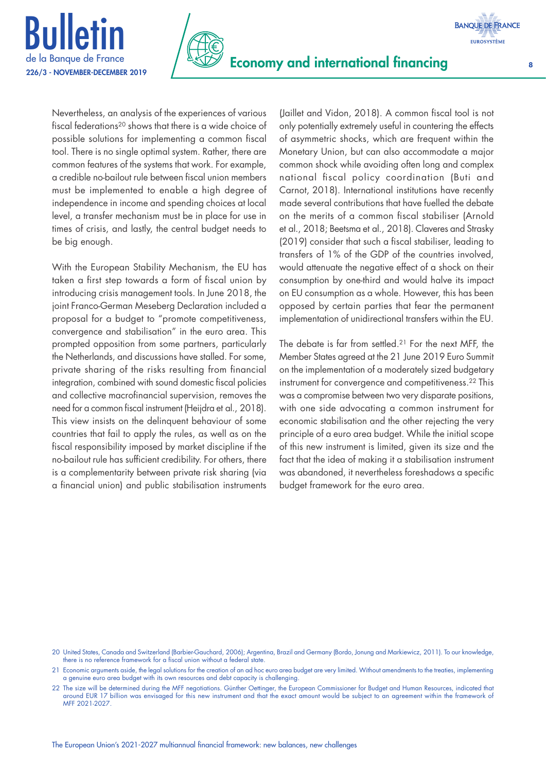



Nevertheless, an analysis of the experiences of various fiscal federations20 shows that there is a wide choice of possible solutions for implementing a common fiscal tool. There is no single optimal system. Rather, there are common features of the systems that work. For example, a credible no-bailout rule between fiscal union members must be implemented to enable a high degree of independence in income and spending choices at local level, a transfer mechanism must be in place for use in times of crisis, and lastly, the central budget needs to be big enough.

With the European Stability Mechanism, the EU has taken a first step towards a form of fiscal union by introducing crisis management tools. In June 2018, the joint Franco-German Meseberg Declaration included a proposal for a budget to "promote competitiveness, convergence and stabilisation" in the euro area. This prompted opposition from some partners, particularly the Netherlands, and discussions have stalled. For some, private sharing of the risks resulting from financial integration, combined with sound domestic fiscal policies and collective macrofinancial supervision, removes the need for a common fiscal instrument (Heijdra et al., 2018). This view insists on the delinquent behaviour of some countries that fail to apply the rules, as well as on the fiscal responsibility imposed by market discipline if the no-bailout rule has sufficient credibility. For others, there is a complementarity between private risk sharing (via a financial union) and public stabilisation instruments

(Jaillet and Vidon, 2018). A common fiscal tool is not only potentially extremely useful in countering the effects of asymmetric shocks, which are frequent within the Monetary Union, but can also accommodate a major common shock while avoiding often long and complex national fiscal policy coordination (Buti and Carnot, 2018). International institutions have recently made several contributions that have fuelled the debate on the merits of a common fiscal stabiliser (Arnold et al., 2018; Beetsma et al., 2018). Claveres and Strasky (2019) consider that such a fiscal stabiliser, leading to transfers of 1% of the GDP of the countries involved, would attenuate the negative effect of a shock on their consumption by one-third and would halve its impact on EU consumption as a whole. However, this has been opposed by certain parties that fear the permanent implementation of unidirectional transfers within the EU.

The debate is far from settled.21 For the next MFF, the Member States agreed at the 21 June 2019 Euro Summit on the implementation of a moderately sized budgetary instrument for convergence and competitiveness.<sup>22</sup> This was a compromise between two very disparate positions, with one side advocating a common instrument for economic stabilisation and the other rejecting the very principle of a euro area budget. While the initial scope of this new instrument is limited, given its size and the fact that the idea of making it a stabilisation instrument was abandoned, it nevertheless foreshadows a specific budget framework for the euro area.

- 20 United States, Canada and Switzerland (Barbier-Gauchard, 2006); Argentina, Brazil and Germany (Bordo, Jonung and Markiewicz, 2011). To our knowledge, there is no reference framework for a fiscal union without a federal state
- 21 Economic arguments aside, the legal solutions for the creation of an ad hoc euro area budget are very limited. Without amendments to the treaties, implementing a genuine euro area budget with its own resources and debt capacity is challenging.
- 22 The size will be determined during the MFF negotiations. Günther Oettinger, the European Commissioner for Budget and Human Resources, indicated that around EUR 17 billion was envisaged for this new instrument and that the exact amount would be subject to an agreement within the framework of MFF 2021-2027.

**BANQUE DE FRANCE EUROSYSTÈME**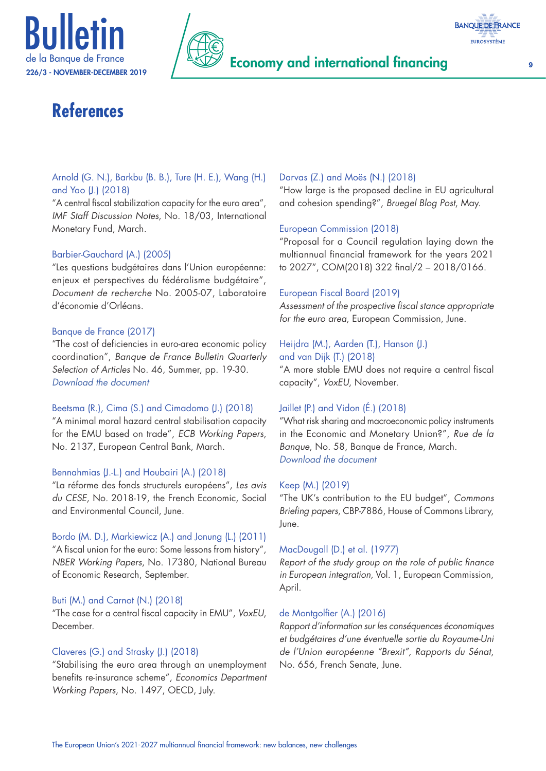





# **References**

#### Arnold (G. N.), Barkbu (B. B.), Ture (H. E.), Wang (H.) and Yao (J.) (2018)

"A central fiscal stabilization capacity for the euro area", *IMF Staff Discussion Notes*, No. 18/03, International Monetary Fund, March.

#### Barbier-Gauchard (A.) (2005)

"Les questions budgétaires dans l'Union européenne: enjeux et perspectives du fédéralisme budgétaire", *Document de recherche* No. 2005-07, Laboratoire d'économie d'Orléans.

#### Banque de France (2017)

"The cost of deficiencies in euro-area economic policy coordination", *Banque de France Bulletin Quarterly Selection of Articles* No. 46, Summer, pp. 19-30. *[Download the document](https://publications.banque-france.fr/sites/default/files/medias/documents/qsa46_summer-2017_web.pdf)*

#### Beetsma (R.), Cima (S.) and Cimadomo (J.) (2018)

"A minimal moral hazard central stabilisation capacity for the EMU based on trade", *ECB Working Papers*, No. 2137, European Central Bank, March.

#### Bennahmias (J.-L.) and Houbairi (A.) (2018)

"La réforme des fonds structurels européens", *Les avis du CESE*, No. 2018-19, the French Economic, Social and Environmental Council, June.

Bordo (M. D.), Markiewicz (A.) and Jonung (L.) (2011) "A fiscal union for the euro: Some lessons from history", *NBER Working Papers*, No. 17380, National Bureau of Economic Research, September.

#### Buti (M.) and Carnot (N.) (2018)

"The case for a central fiscal capacity in EMU", *VoxEU*, December.

#### Claveres (G.) and Strasky (J.) (2018)

"Stabilising the euro area through an unemployment benefits re-insurance scheme", *Economics Department Working Papers*, No. 1497, OECD, July.

#### Darvas (Z.) and Moës (N.) (2018)

"How large is the proposed decline in EU agricultural and cohesion spending?", *Bruegel Blog Post*, May.

#### European Commission (2018)

"Proposal for a Council regulation laying down the multiannual financial framework for the years 2021 to 2027", COM(2018) 322 final/2 – 2018/0166.

#### European Fiscal Board (2019)

*Assessment of the prospective fiscal stance appropriate for the euro area*, European Commission, June.

#### Heijdra (M.), Aarden (T.), Hanson (J.)

and van Dijk (T.) (2018) "A more stable EMU does not require a central fiscal capacity", *VoxEU*, November.

#### Jaillet (P.) and Vidon (É.) (2018)

"What risk sharing and macroeconomic policy instruments in the Economic and Monetary Union?", *Rue de la Banque*, No. 58, Banque de France, March. *[Download the document](https://www.banque-france.fr/sites/default/files/medias/documents/818086_rdb58_en_v6.pdf)*

#### Keep (M.) (2019)

"The UK's contribution to the EU budget", *Commons Briefing papers*, CBP-7886, House of Commons Library, June.

#### MacDougall (D.) et al. (1977)

*Report of the study group on the role of public finance in European integration*, Vol. 1, European Commission, April.

#### de Montgolfier (A.) (2016)

*Rapport d'information sur les conséquences économiques et budgétaires d'une éventuelle sortie du Royaume-Uni de l'Union européenne "Brexit", Rapports du Sénat*, No. 656, French Senate, June.